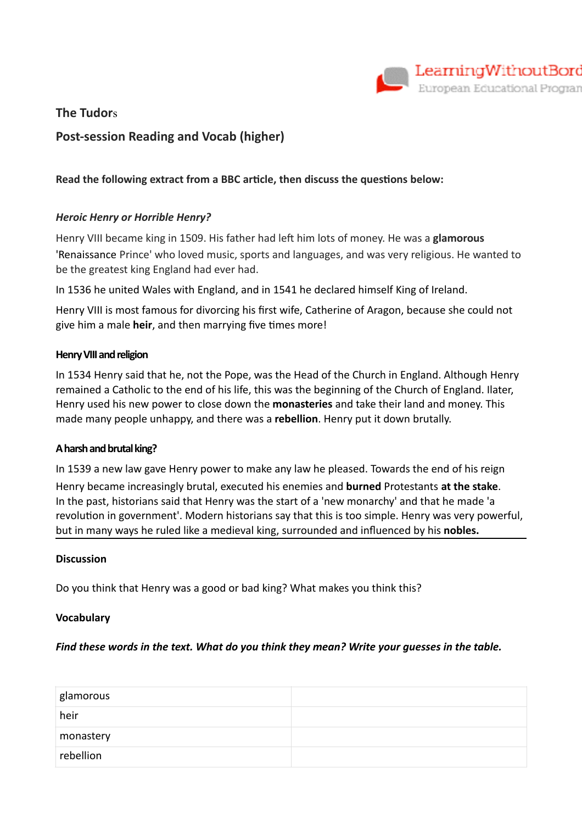

## **The Tudor**s

# **Post-session Reading and Vocab (higher)**

## **Read the following extract from a BBC article, then discuss the questions below:**

## *Heroic Henry or Horrible Henry?*

Henry VIII became king in 1509. His father had left him lots of money. He was a **glamorous** 'Renaissance Prince' who loved music, sports and languages, and was very religious. He wanted to be the greatest king England had ever had.

In 1536 he united Wales with England, and in 1541 he declared himself King of Ireland.

Henry VIII is most famous for divorcing his first wife, Catherine of Aragon, because she could not give him a male **heir**, and then marrying five times more!

#### **Henry VIII and religion**

In 1534 Henry said that he, not the Pope, was the Head of the Church in England. Although Henry remained a Catholic to the end of his life, this was the beginning of the Church of England. Ilater, Henry used his new power to close down the **monasteries** and take their land and money. This made many people unhappy, and there was a **rebellion**. Henry put it down brutally.

#### **A harsh and brutal king?**

In 1539 a new law gave Henry power to make any law he pleased. Towards the end of his reign Henry became increasingly brutal, executed his enemies and **burned** Protestants **at the stake**. In the past, historians said that Henry was the start of a 'new monarchy' and that he made 'a revolution in government'. Modern historians say that this is too simple. Henry was very powerful,

but in many ways he ruled like a medieval king, surrounded and influenced by his **nobles.**

#### **Discussion**

Do you think that Henry was a good or bad king? What makes you think this?

#### **Vocabulary**

#### *Find these words in the text. What do you think they mean? Write your guesses in the table.*

| glamorous |  |
|-----------|--|
| heir      |  |
| monastery |  |
| rebellion |  |